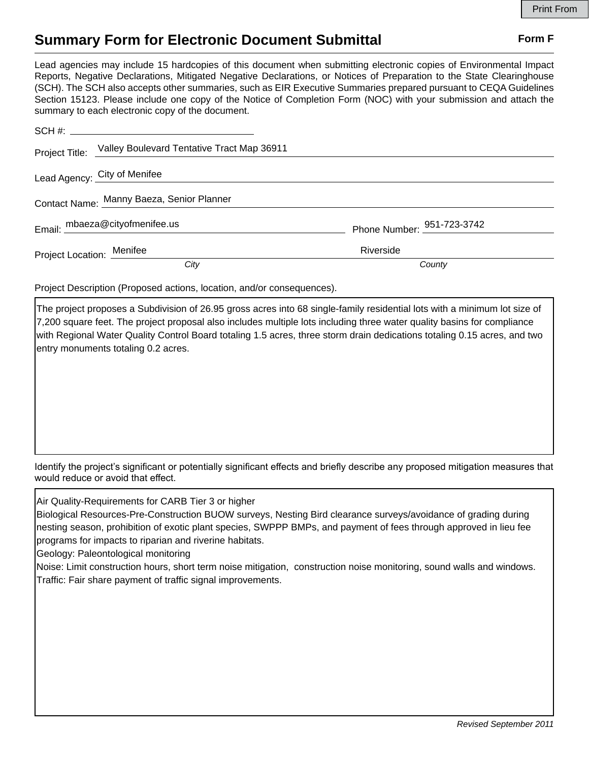## **Summary Form for Electronic Document Submittal Form F Form F**

Lead agencies may include 15 hardcopies of this document when submitting electronic copies of Environmental Impact Reports, Negative Declarations, Mitigated Negative Declarations, or Notices of Preparation to the State Clearinghouse (SCH). The SCH also accepts other summaries, such as EIR Executive Summaries prepared pursuant to CEQA Guidelines Section 15123. Please include one copy of the Notice of Completion Form (NOC) with your submission and attach the summary to each electronic copy of the document.

|                                           | Project Title: Valley Boulevard Tentative Tract Map 36911 |                                        |
|-------------------------------------------|-----------------------------------------------------------|----------------------------------------|
| Lead Agency: City of Menifee              |                                                           |                                        |
| Contact Name: Manny Baeza, Senior Planner |                                                           |                                        |
|                                           | Email: mbaeza@cityofmenifee.us                            | Phone Number: $\frac{951-723-3742}{2}$ |
| Project Location: Menifee                 |                                                           | Riverside                              |
|                                           | City                                                      | County                                 |

Project Description (Proposed actions, location, and/or consequences).

The project proposes a Subdivision of 26.95 gross acres into 68 single-family residential lots with a minimum lot size of 7,200 square feet. The project proposal also includes multiple lots including three water quality basins for compliance with Regional Water Quality Control Board totaling 1.5 acres, three storm drain dedications totaling 0.15 acres, and two entry monuments totaling 0.2 acres.

Identify the project's significant or potentially significant effects and briefly describe any proposed mitigation measures that would reduce or avoid that effect.

Air Quality-Requirements for CARB Tier 3 or higher

Biological Resources-Pre-Construction BUOW surveys, Nesting Bird clearance surveys/avoidance of grading during nesting season, prohibition of exotic plant species, SWPPP BMPs, and payment of fees through approved in lieu fee programs for impacts to riparian and riverine habitats.

Geology: Paleontological monitoring

Noise: Limit construction hours, short term noise mitigation, construction noise monitoring, sound walls and windows. Traffic: Fair share payment of traffic signal improvements.